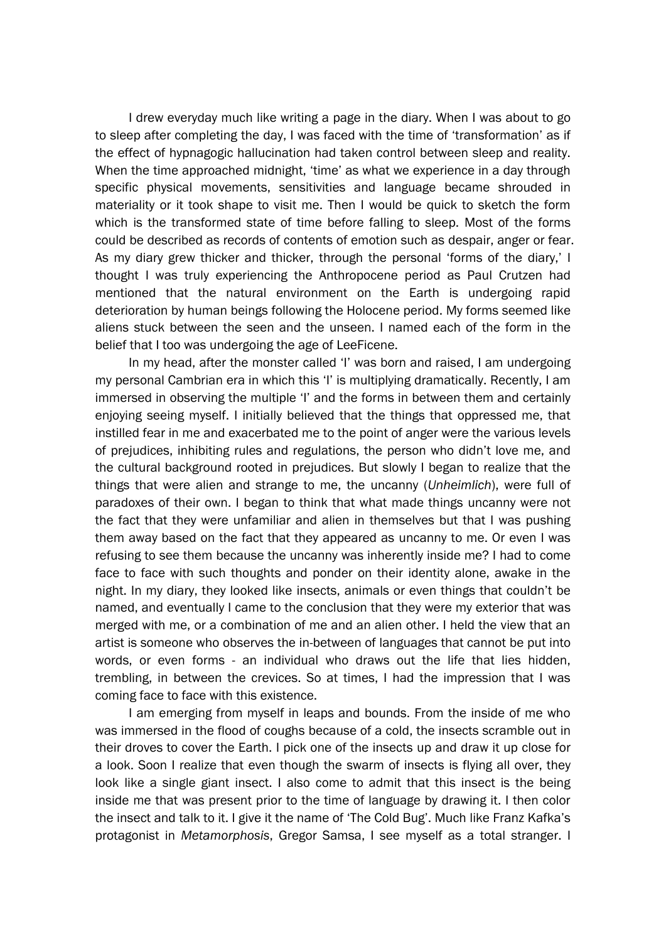I drew everyday much like writing a page in the diary. When I was about to go to sleep after completing the day, I was faced with the time of 'transformation' as if the effect of hypnagogic hallucination had taken control between sleep and reality. When the time approached midnight, 'time' as what we experience in a day through specific physical movements, sensitivities and language became shrouded in materiality or it took shape to visit me. Then I would be quick to sketch the form which is the transformed state of time before falling to sleep. Most of the forms could be described as records of contents of emotion such as despair, anger or fear. As my diary grew thicker and thicker, through the personal 'forms of the diary,' I thought I was truly experiencing the Anthropocene period as Paul Crutzen had mentioned that the natural environment on the Earth is undergoing rapid deterioration by human beings following the Holocene period. My forms seemed like aliens stuck between the seen and the unseen. I named each of the form in the belief that I too was undergoing the age of LeeFicene.

In my head, after the monster called 'I' was born and raised, I am undergoing my personal Cambrian era in which this 'I' is multiplying dramatically. Recently, I am immersed in observing the multiple 'I' and the forms in between them and certainly enjoying seeing myself. I initially believed that the things that oppressed me, that instilled fear in me and exacerbated me to the point of anger were the various levels of prejudices, inhibiting rules and regulations, the person who didn't love me, and the cultural background rooted in prejudices. But slowly I began to realize that the things that were alien and strange to me, the uncanny (*Unheimlich*), were full of paradoxes of their own. I began to think that what made things uncanny were not the fact that they were unfamiliar and alien in themselves but that I was pushing them away based on the fact that they appeared as uncanny to me. Or even I was refusing to see them because the uncanny was inherently inside me? I had to come face to face with such thoughts and ponder on their identity alone, awake in the night. In my diary, they looked like insects, animals or even things that couldn't be named, and eventually I came to the conclusion that they were my exterior that was merged with me, or a combination of me and an alien other. I held the view that an artist is someone who observes the in-between of languages that cannot be put into words, or even forms - an individual who draws out the life that lies hidden, trembling, in between the crevices. So at times, I had the impression that I was coming face to face with this existence.

I am emerging from myself in leaps and bounds. From the inside of me who was immersed in the flood of coughs because of a cold, the insects scramble out in their droves to cover the Earth. I pick one of the insects up and draw it up close for a look. Soon I realize that even though the swarm of insects is flying all over, they look like a single giant insect. I also come to admit that this insect is the being inside me that was present prior to the time of language by drawing it. I then color the insect and talk to it. I give it the name of 'The Cold Bug'. Much like Franz Kafka's protagonist in *Metamorphosis*, Gregor Samsa, I see myself as a total stranger. I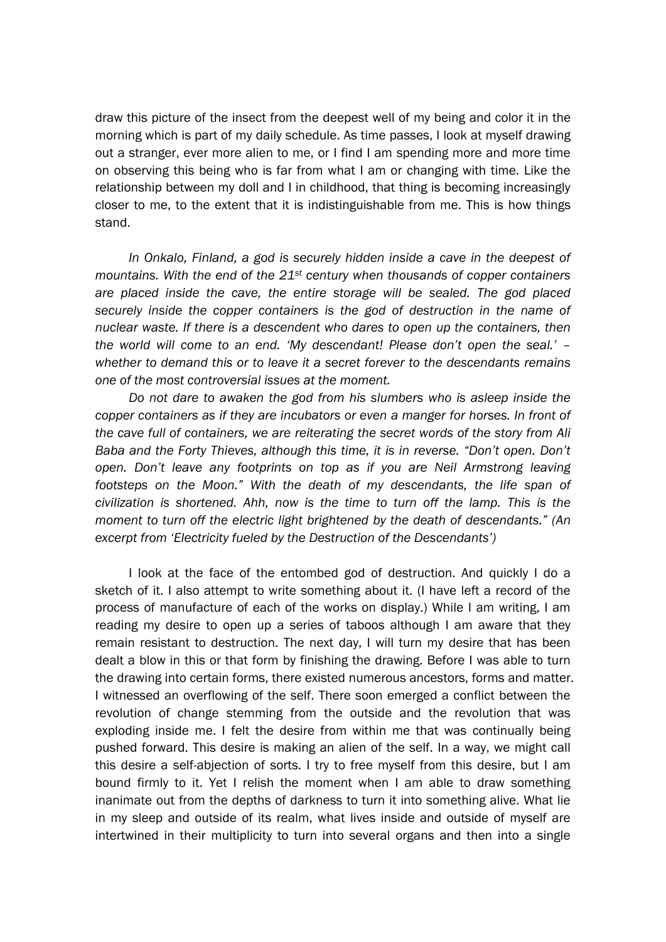draw this picture of the insect from the deepest well of my being and color it in the morning which is part of my daily schedule. As time passes, I look at myself drawing out a stranger, ever more alien to me, or I find I am spending more and more time on observing this being who is far from what I am or changing with time. Like the relationship between my doll and I in childhood, that thing is becoming increasingly closer to me, to the extent that it is indistinguishable from me. This is how things stand.

In Onkalo, Finland, a god is securely hidden inside a cave in the deepest of *mountains. With the end of the 21st century when thousands of copper containers are placed inside the cave, the entire storage will be sealed. The god placed securely inside the copper containers is the god of destruction in the name of nuclear waste. If there is a descendent who dares to open up the containers, then the world will come to an end. 'My descendant! Please don't open the seal.' – whether to demand this or to leave it a secret forever to the descendants remains one of the most controversial issues at the moment.* 

*Do not dare to awaken the god from his slumbers who is asleep inside the copper containers as if they are incubators or even a manger for horses. In front of the cave full of containers, we are reiterating the secret words of the story from Ali Baba and the Forty Thieves, although this time, it is in reverse. "Don't open. Don't open. Don't leave any footprints on top as if you are Neil Armstrong leaving footsteps on the Moon." With the death of my descendants, the life span of civilization is shortened. Ahh, now is the time to turn off the lamp. This is the moment to turn off the electric light brightened by the death of descendants." (An excerpt from 'Electricity fueled by the Destruction of the Descendants')*

I look at the face of the entombed god of destruction. And quickly I do a sketch of it. I also attempt to write something about it. (I have left a record of the process of manufacture of each of the works on display.) While I am writing, I am reading my desire to open up a series of taboos although I am aware that they remain resistant to destruction. The next day, I will turn my desire that has been dealt a blow in this or that form by finishing the drawing. Before I was able to turn the drawing into certain forms, there existed numerous ancestors, forms and matter. I witnessed an overflowing of the self. There soon emerged a conflict between the revolution of change stemming from the outside and the revolution that was exploding inside me. I felt the desire from within me that was continually being pushed forward. This desire is making an alien of the self. In a way, we might call this desire a self-abjection of sorts. I try to free myself from this desire, but I am bound firmly to it. Yet I relish the moment when I am able to draw something inanimate out from the depths of darkness to turn it into something alive. What lie in my sleep and outside of its realm, what lives inside and outside of myself are intertwined in their multiplicity to turn into several organs and then into a single